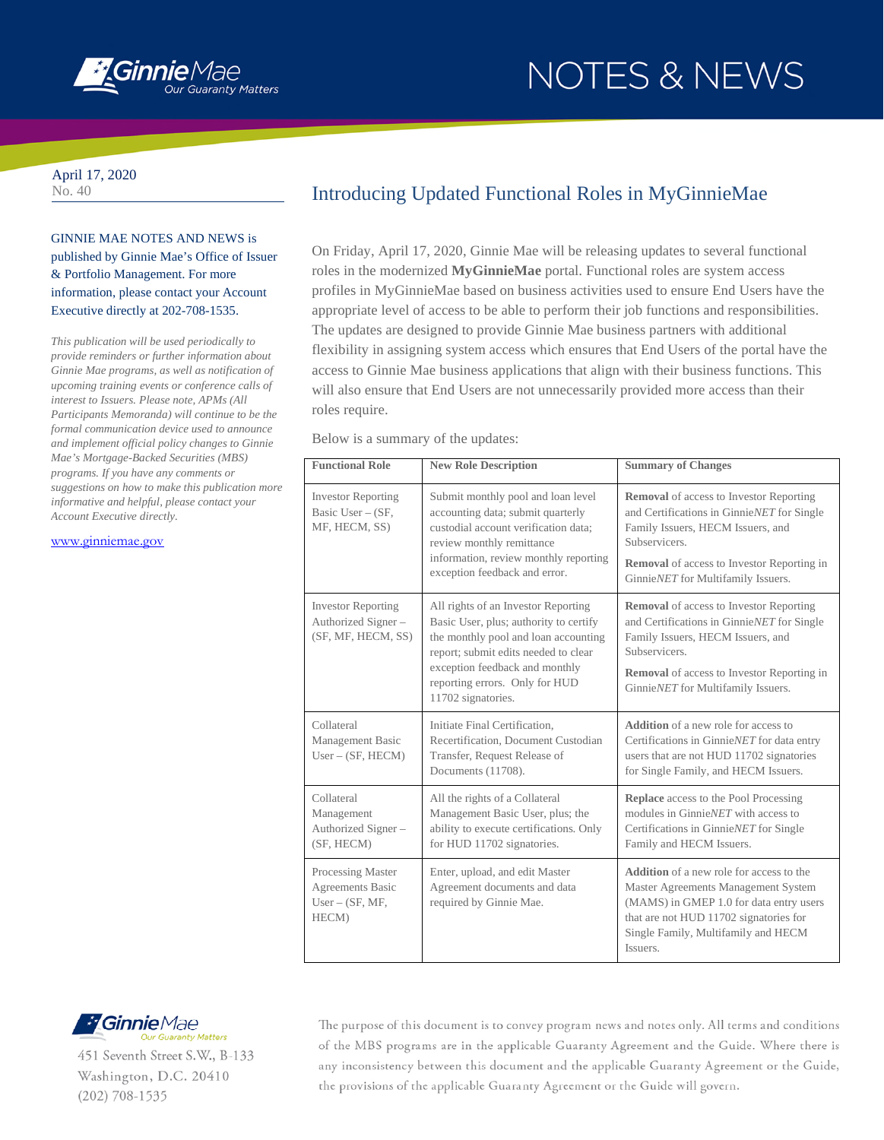

## NOTES & NEWS

April 17, 2020 No. 40

GINNIE MAE NOTES AND NEWS is published by Ginnie Mae's Office of Issuer & Portfolio Management. For more information, please contact your Account Executive directly at 202-708-1535.

*This publication will be used periodically to provide reminders or further information about Ginnie Mae programs, as well as notification of upcoming training events or conference calls of interest to Issuers. Please note, APMs (All Participants Memoranda) will continue to be the formal communication device used to announce and implement official policy changes to Ginnie Mae's Mortgage-Backed Securities (MBS) programs. If you have any comments or suggestions on how to make this publication more informative and helpful, please contact your Account Executive directly.* 

[www.ginniemae.gov](http://www.ginniemae.gov/)

## Introducing Updated Functional Roles in MyGinnieMae

On Friday, April 17, 2020, Ginnie Mae will be releasing updates to several functional roles in the modernized **MyGinnieMae** portal. Functional roles are system access profiles in MyGinnieMae based on business activities used to ensure End Users have the appropriate level of access to be able to perform their job functions and responsibilities. The updates are designed to provide Ginnie Mae business partners with additional flexibility in assigning system access which ensures that End Users of the portal have the access to Ginnie Mae business applications that align with their business functions. This will also ensure that End Users are not unnecessarily provided more access than their roles require.

Below is a summary of the updates:

| <b>Functional Role</b>                                                 | <b>New Role Description</b>                                                                                                                                                                                                                             | <b>Summary of Changes</b>                                                                                                                                                                                                                           |
|------------------------------------------------------------------------|---------------------------------------------------------------------------------------------------------------------------------------------------------------------------------------------------------------------------------------------------------|-----------------------------------------------------------------------------------------------------------------------------------------------------------------------------------------------------------------------------------------------------|
| <b>Investor Reporting</b><br>Basic User $-$ (SF,<br>MF, HECM, SS)      | Submit monthly pool and loan level<br>accounting data; submit quarterly<br>custodial account verification data:<br>review monthly remittance<br>information, review monthly reporting<br>exception feedback and error.                                  | <b>Removal</b> of access to Investor Reporting<br>and Certifications in GinnieNET for Single<br>Family Issuers, HECM Issuers, and<br><b>Subservicers</b><br><b>Removal</b> of access to Investor Reporting in<br>GinnieNET for Multifamily Issuers. |
| <b>Investor Reporting</b><br>Authorized Signer -<br>(SF, MF, HECM, SS) | All rights of an Investor Reporting<br>Basic User, plus; authority to certify<br>the monthly pool and loan accounting<br>report; submit edits needed to clear<br>exception feedback and monthly<br>reporting errors. Only for HUD<br>11702 signatories. | <b>Removal</b> of access to Investor Reporting<br>and Certifications in GinnieNET for Single<br>Family Issuers, HECM Issuers, and<br><b>Subservicers</b><br><b>Removal</b> of access to Investor Reporting in<br>GinnieNET for Multifamily Issuers. |
| Collateral<br>Management Basic<br>$User - (SF, HECM)$                  | Initiate Final Certification,<br>Recertification, Document Custodian<br>Transfer, Request Release of<br>Documents (11708).                                                                                                                              | <b>Addition</b> of a new role for access to<br>Certifications in GinnieNET for data entry<br>users that are not HUD 11702 signatories<br>for Single Family, and HECM Issuers.                                                                       |
| Collateral<br>Management<br>Authorized Signer-<br>(SF, HECM)           | All the rights of a Collateral<br>Management Basic User, plus; the<br>ability to execute certifications. Only<br>for HUD 11702 signatories.                                                                                                             | <b>Replace</b> access to the Pool Processing<br>modules in GinnieNET with access to<br>Certifications in GinnieNET for Single<br>Family and HECM Issuers.                                                                                           |
| Processing Master<br>Agreements Basic<br>$User - (SF, MF,$<br>HECM)    | Enter, upload, and edit Master<br>Agreement documents and data<br>required by Ginnie Mae.                                                                                                                                                               | <b>Addition</b> of a new role for access to the<br>Master Agreements Management System<br>(MAMS) in GMEP 1.0 for data entry users<br>that are not HUD 11702 signatories for<br>Single Family, Multifamily and HECM<br>Issuers.                      |



451 Seventh Street S.W., B-133 Washington, D.C. 20410  $(202)$  708-1535

The purpose of this document is to convey program news and notes only. All terms and conditions of the MBS programs are in the applicable Guaranty Agreement and the Guide. Where there is any inconsistency between this document and the applicable Guaranty Agreement or the Guide, the provisions of the applicable Guaranty Agreement or the Guide will govern.